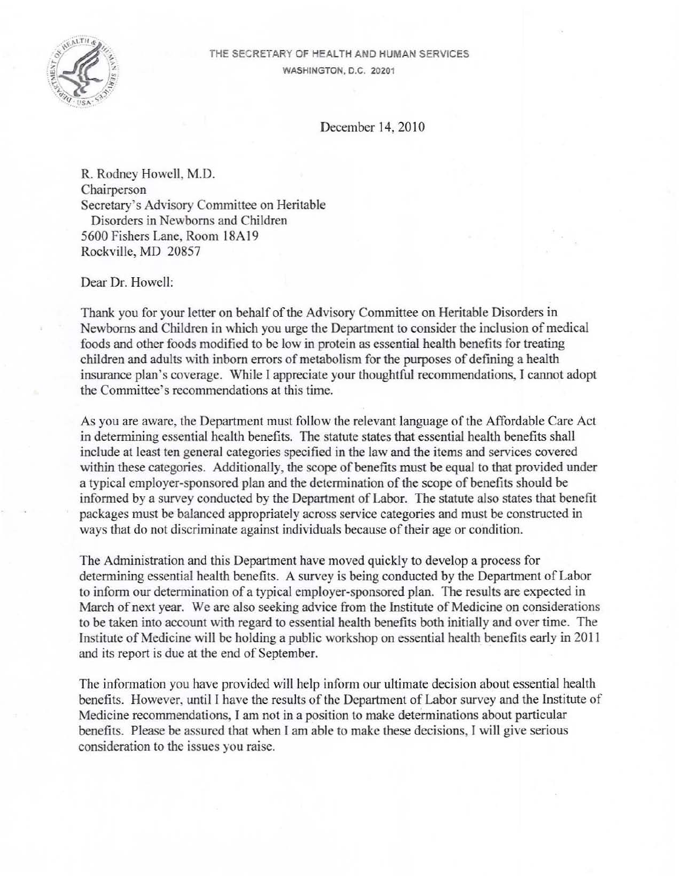

## THE SECRETARY OF HEALTH AND HUMAN SERVICES WASHINGTON, O.C. 20201

December 14, 2010

R. Rodney Howcll, M.D. Chairperson Secretary's Advisory Committee on Heritable Disorders in Newborns and Children 5600 Fishers Lane, Room 18A 19 Rockville, MD 20857

Dear Dr. Howell:

Thank you for your letter on behalf of the Advisory Committee on Heritable Disorders in Newborns and Children in which you urge the Department to consider the inclusion of medical foods and other foods modified to be low in protein as essential health benefits for treating children and adults with inborn errors of metabolism for the purposes of defining a health insurance plan's coverage. While I appreciate your thoughtful recommendations, I cannot adopt the Committee's recommendations at this time.

As you are aware, the Department must follow the relevant language of the Affordable Care Act in determining essential health benefits. The statute states that essential health benefits shall include at least ten general categories specified in the law and the items and services covered within these categories. Additionally, the scope of benefits must be equal to that provided under a typical employer-sponsored plan and the determination of the scope of benefits should be informed by a survey conducted by the Department of Labor. The statute also states that benefit packages must be balanced appropriately across service categories and must be constructed in ways that do not discriminate against individuals because of their age or condition.

The Administration and this Department have moved quickly to develop a process for determining essential health benefits. A survey is being conducted by the Department of Labor to infonn our determination of a typical employer-sponsored plan. The results are expected in March of next year. We are also seeking advice from the Institute of Medicine on considerations to be taken into account with regard to essential health benefits both initially and over time. The Institute of Medicine will be holding a public workshop on essential health benefits early in 2011 and its report is due at the end of September.

The information you have provided will help inform our ultimate decision about essential health benefits. However, until I have the results of the Department of Labor survey and the Institute of Medicine recommendations, I am not in a position to make determinations about particular benefits. Please be assured that when I am able to make these decisions, I will give serious consideration to the issues you raise.